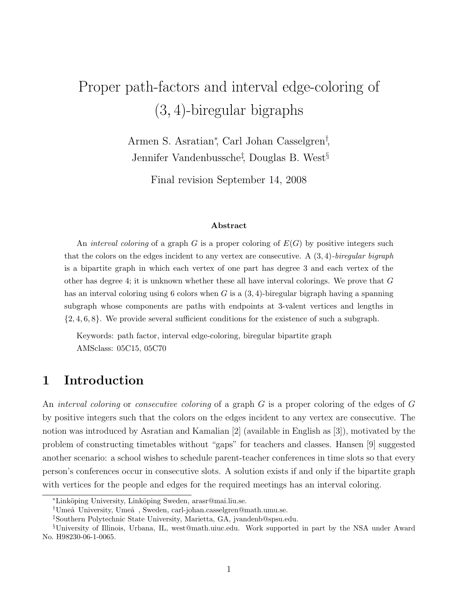# Proper path-factors and interval edge-coloring of (3, 4)-biregular bigraphs

Armen S. Asratian<sup>∗</sup> , Carl Johan Casselgren† , Jennifer Vandenbussche‡ , Douglas B. West§

Final revision September 14, 2008

#### Abstract

An interval coloring of a graph G is a proper coloring of  $E(G)$  by positive integers such that the colors on the edges incident to any vertex are consecutive. A  $(3, 4)$ -biregular bigraph is a bipartite graph in which each vertex of one part has degree 3 and each vertex of the other has degree 4; it is unknown whether these all have interval colorings. We prove that  $G$ has an interval coloring using 6 colors when G is a  $(3, 4)$ -biregular bigraph having a spanning subgraph whose components are paths with endpoints at 3-valent vertices and lengths in  $\{2, 4, 6, 8\}$ . We provide several sufficient conditions for the existence of such a subgraph.

Keywords: path factor, interval edge-coloring, biregular bipartite graph AMSclass: 05C15, 05C70

## 1 Introduction

An *interval coloring* or *consecutive coloring* of a graph G is a proper coloring of the edges of G by positive integers such that the colors on the edges incident to any vertex are consecutive. The notion was introduced by Asratian and Kamalian [2] (available in English as [3]), motivated by the problem of constructing timetables without "gaps" for teachers and classes. Hansen [9] suggested another scenario: a school wishes to schedule parent-teacher conferences in time slots so that every person's conferences occur in consecutive slots. A solution exists if and only if the bipartite graph with vertices for the people and edges for the required meetings has an interval coloring.

<sup>∗</sup>Link¨oping University, Link¨oping Sweden, arasr@mai.liu.se.

<sup>&</sup>lt;sup>†</sup>Umeå University, Umeå, Sweden, carl-johan.casselgren@math.umu.se.

<sup>‡</sup>Southern Polytechnic State University, Marietta, GA, jvandenb@spsu.edu.

<sup>§</sup>University of Illinois, Urbana, IL, west@math.uiuc.edu. Work supported in part by the NSA under Award No. H98230-06-1-0065.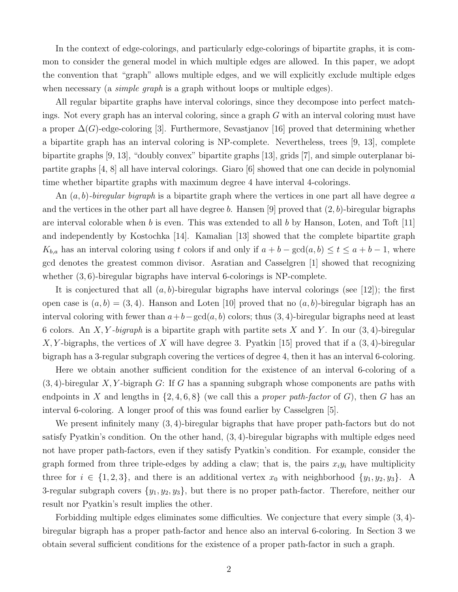In the context of edge-colorings, and particularly edge-colorings of bipartite graphs, it is common to consider the general model in which multiple edges are allowed. In this paper, we adopt the convention that "graph" allows multiple edges, and we will explicitly exclude multiple edges when necessary (a *simple graph* is a graph without loops or multiple edges).

All regular bipartite graphs have interval colorings, since they decompose into perfect matchings. Not every graph has an interval coloring, since a graph G with an interval coloring must have a proper  $\Delta(G)$ -edge-coloring [3]. Furthermore, Sevastjanov [16] proved that determining whether a bipartite graph has an interval coloring is NP-complete. Nevertheless, trees [9, 13], complete bipartite graphs [9, 13], "doubly convex" bipartite graphs [13], grids [7], and simple outerplanar bipartite graphs [4, 8] all have interval colorings. Giaro [6] showed that one can decide in polynomial time whether bipartite graphs with maximum degree 4 have interval 4-colorings.

An  $(a, b)$ -biregular bigraph is a bipartite graph where the vertices in one part all have degree a and the vertices in the other part all have degree b. Hansen [9] proved that  $(2, b)$ -biregular bigraphs are interval colorable when b is even. This was extended to all b by Hanson, Loten, and Toft  $[11]$ and independently by Kostochka [14]. Kamalian [13] showed that the complete bipartite graph  $K_{b,a}$  has an interval coloring using t colors if and only if  $a + b - \gcd(a, b) \le t \le a + b - 1$ , where gcd denotes the greatest common divisor. Asratian and Casselgren [1] showed that recognizing whether  $(3, 6)$ -biregular bigraphs have interval 6-colorings is NP-complete.

It is conjectured that all  $(a, b)$ -biregular bigraphs have interval colorings (see [12]); the first open case is  $(a, b) = (3, 4)$ . Hanson and Loten [10] proved that no  $(a, b)$ -biregular bigraph has an interval coloring with fewer than  $a+b-\gcd(a, b)$  colors; thus  $(3, 4)$ -biregular bigraphs need at least 6 colors. An X, Y-bigraph is a bipartite graph with partite sets X and Y. In our  $(3, 4)$ -biregular X, Y-bigraphs, the vertices of X will have degree 3. Pyatkin [15] proved that if a  $(3, 4)$ -biregular bigraph has a 3-regular subgraph covering the vertices of degree 4, then it has an interval 6-coloring.

Here we obtain another sufficient condition for the existence of an interval 6-coloring of a  $(3, 4)$ -biregular X, Y-bigraph G: If G has a spanning subgraph whose components are paths with endpoints in X and lengths in  $\{2, 4, 6, 8\}$  (we call this a *proper path-factor* of G), then G has an interval 6-coloring. A longer proof of this was found earlier by Casselgren [5].

We present infinitely many  $(3, 4)$ -biregular bigraphs that have proper path-factors but do not satisfy Pyatkin's condition. On the other hand, (3, 4)-biregular bigraphs with multiple edges need not have proper path-factors, even if they satisfy Pyatkin's condition. For example, consider the graph formed from three triple-edges by adding a claw; that is, the pairs  $x_i y_i$  have multiplicity three for  $i \in \{1, 2, 3\}$ , and there is an additional vertex  $x_0$  with neighborhood  $\{y_1, y_2, y_3\}$ . A 3-regular subgraph covers  $\{y_1, y_2, y_3\}$ , but there is no proper path-factor. Therefore, neither our result nor Pyatkin's result implies the other.

Forbidding multiple edges eliminates some difficulties. We conjecture that every simple (3, 4) biregular bigraph has a proper path-factor and hence also an interval 6-coloring. In Section 3 we obtain several sufficient conditions for the existence of a proper path-factor in such a graph.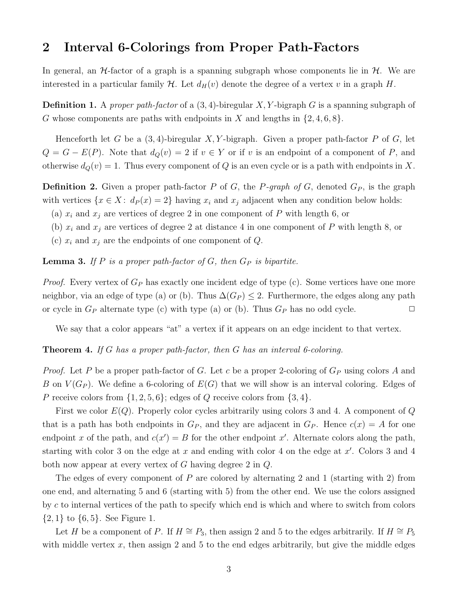### 2 Interval 6-Colorings from Proper Path-Factors

In general, an  $H$ -factor of a graph is a spanning subgraph whose components lie in  $H$ . We are interested in a particular family  $\mathcal H$ . Let  $d_H(v)$  denote the degree of a vertex v in a graph H.

**Definition 1.** A proper path-factor of a  $(3, 4)$ -biregular X, Y-bigraph G is a spanning subgraph of G whose components are paths with endpoints in X and lengths in  $\{2, 4, 6, 8\}$ .

Henceforth let G be a  $(3, 4)$ -biregular X, Y-bigraph. Given a proper path-factor P of G, let  $Q = G - E(P)$ . Note that  $d_Q(v) = 2$  if  $v \in Y$  or if v is an endpoint of a component of P, and otherwise  $d_Q(v) = 1$ . Thus every component of Q is an even cycle or is a path with endpoints in X.

**Definition 2.** Given a proper path-factor P of G, the P-graph of G, denoted  $G_P$ , is the graph with vertices  $\{x \in X: d_P(x) = 2\}$  having  $x_i$  and  $x_j$  adjacent when any condition below holds:

- (a)  $x_i$  and  $x_j$  are vertices of degree 2 in one component of P with length 6, or
- (b)  $x_i$  and  $x_j$  are vertices of degree 2 at distance 4 in one component of P with length 8, or
- (c)  $x_i$  and  $x_j$  are the endpoints of one component of Q.

**Lemma 3.** If P is a proper path-factor of  $G$ , then  $G_P$  is bipartite.

*Proof.* Every vertex of  $G_P$  has exactly one incident edge of type (c). Some vertices have one more neighbor, via an edge of type (a) or (b). Thus  $\Delta(G_P) \leq 2$ . Furthermore, the edges along any path or cycle in  $G_P$  alternate type (c) with type (a) or (b). Thus  $G_P$  has no odd cycle.  $\Box$ 

We say that a color appears "at" a vertex if it appears on an edge incident to that vertex.

**Theorem 4.** If G has a proper path-factor, then G has an interval 6-coloring.

*Proof.* Let P be a proper path-factor of G. Let c be a proper 2-coloring of  $G_P$  using colors A and B on  $V(G_P)$ . We define a 6-coloring of  $E(G)$  that we will show is an interval coloring. Edges of P receive colors from  $\{1, 2, 5, 6\}$ ; edges of Q receive colors from  $\{3, 4\}$ .

First we color  $E(Q)$ . Properly color cycles arbitrarily using colors 3 and 4. A component of Q that is a path has both endpoints in  $G_P$ , and they are adjacent in  $G_P$ . Hence  $c(x) = A$  for one endpoint x of the path, and  $c(x') = B$  for the other endpoint x'. Alternate colors along the path, starting with color 3 on the edge at x and ending with color 4 on the edge at  $x'$ . Colors 3 and 4 both now appear at every vertex of G having degree 2 in Q.

The edges of every component of  $P$  are colored by alternating 2 and 1 (starting with 2) from one end, and alternating 5 and 6 (starting with 5) from the other end. We use the colors assigned by c to internal vertices of the path to specify which end is which and where to switch from colors  $\{2, 1\}$  to  $\{6, 5\}$ . See Figure 1.

Let H be a component of P. If  $H \cong P_3$ , then assign 2 and 5 to the edges arbitrarily. If  $H \cong P_5$ with middle vertex  $x$ , then assign 2 and 5 to the end edges arbitrarily, but give the middle edges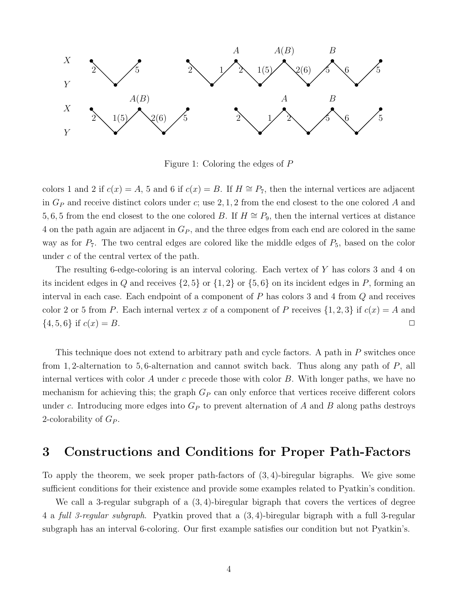

Figure 1: Coloring the edges of P

colors 1 and 2 if  $c(x) = A$ , 5 and 6 if  $c(x) = B$ . If  $H \cong P_7$ , then the internal vertices are adjacent in  $G_P$  and receive distinct colors under c; use 2, 1, 2 from the end closest to the one colored A and 5, 6, 5 from the end closest to the one colored B. If  $H \cong P_9$ , then the internal vertices at distance 4 on the path again are adjacent in  $G_P$ , and the three edges from each end are colored in the same way as for  $P_7$ . The two central edges are colored like the middle edges of  $P_5$ , based on the color under c of the central vertex of the path.

The resulting 6-edge-coloring is an interval coloring. Each vertex of Y has colors 3 and 4 on its incident edges in Q and receives  $\{2, 5\}$  or  $\{1, 2\}$  or  $\{5, 6\}$  on its incident edges in P, forming an interval in each case. Each endpoint of a component of P has colors 3 and 4 from Q and receives color 2 or 5 from P. Each internal vertex x of a component of P receives  $\{1,2,3\}$  if  $c(x) = A$  and  $\{4, 5, 6\}$  if  $c(x) = B$ .

This technique does not extend to arbitrary path and cycle factors. A path in P switches once from 1, 2-alternation to 5, 6-alternation and cannot switch back. Thus along any path of P, all internal vertices with color A under c precede those with color  $B$ . With longer paths, we have no mechanism for achieving this; the graph  $G_P$  can only enforce that vertices receive different colors under c. Introducing more edges into  $G_P$  to prevent alternation of A and B along paths destroys 2-colorability of  $G_P$ .

#### 3 Constructions and Conditions for Proper Path-Factors

To apply the theorem, we seek proper path-factors of (3, 4)-biregular bigraphs. We give some sufficient conditions for their existence and provide some examples related to Pyatkin's condition.

We call a 3-regular subgraph of a  $(3, 4)$ -biregular bigraph that covers the vertices of degree 4 a full 3-regular subgraph. Pyatkin proved that a (3, 4)-biregular bigraph with a full 3-regular subgraph has an interval 6-coloring. Our first example satisfies our condition but not Pyatkin's.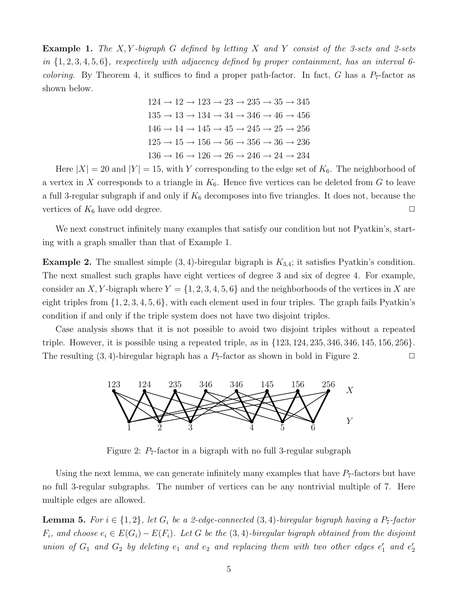**Example 1.** The X, Y-bigraph G defined by letting X and Y consist of the 3-sets and 2-sets in  $\{1, 2, 3, 4, 5, 6\}$ , respectively with adjacency defined by proper containment, has an interval 6*coloring.* By Theorem 4, it suffices to find a proper path-factor. In fact, G has a  $P_7$ -factor as shown below.

> $124 \rightarrow 12 \rightarrow 123 \rightarrow 23 \rightarrow 235 \rightarrow 35 \rightarrow 345$  $135 \rightarrow 13 \rightarrow 134 \rightarrow 34 \rightarrow 346 \rightarrow 46 \rightarrow 456$  $146 \rightarrow 14 \rightarrow 145 \rightarrow 45 \rightarrow 245 \rightarrow 25 \rightarrow 256$  $125 \rightarrow 15 \rightarrow 156 \rightarrow 56 \rightarrow 356 \rightarrow 36 \rightarrow 236$  $136 \rightarrow 16 \rightarrow 126 \rightarrow 26 \rightarrow 246 \rightarrow 24 \rightarrow 234$

Here  $|X| = 20$  and  $|Y| = 15$ , with Y corresponding to the edge set of  $K_6$ . The neighborhood of a vertex in X corresponds to a triangle in  $K_6$ . Hence five vertices can be deleted from G to leave a full 3-regular subgraph if and only if  $K_6$  decomposes into five triangles. It does not, because the vertices of  $K_6$  have odd degree.  $\Box$ 

We next construct infinitely many examples that satisfy our condition but not Pyatkin's, starting with a graph smaller than that of Example 1.

**Example 2.** The smallest simple  $(3, 4)$ -biregular bigraph is  $K_{3,4}$ ; it satisfies Pyatkin's condition. The next smallest such graphs have eight vertices of degree 3 and six of degree 4. For example, consider an X, Y-bigraph where  $Y = \{1, 2, 3, 4, 5, 6\}$  and the neighborhoods of the vertices in X are eight triples from  $\{1, 2, 3, 4, 5, 6\}$ , with each element used in four triples. The graph fails Pyatkin's condition if and only if the triple system does not have two disjoint triples.

Case analysis shows that it is not possible to avoid two disjoint triples without a repeated triple. However, it is possible using a repeated triple, as in  $\{123, 124, 235, 346, 346, 145, 156, 256\}$ . The resulting  $(3, 4)$ -biregular bigraph has a  $P_7$ -factor as shown in bold in Figure 2.



Figure 2:  $P_7$ -factor in a bigraph with no full 3-regular subgraph

Using the next lemma, we can generate infinitely many examples that have  $P_7$ -factors but have no full 3-regular subgraphs. The number of vertices can be any nontrivial multiple of 7. Here multiple edges are allowed.

**Lemma 5.** For  $i \in \{1,2\}$ , let  $G_i$  be a 2-edge-connected  $(3,4)$ -biregular bigraph having a  $P_7$ -factor  $F_i$ , and choose  $e_i \in E(G_i) - E(F_i)$ . Let G be the  $(3, 4)$ -biregular bigraph obtained from the disjoint union of  $G_1$  and  $G_2$  by deleting  $e_1$  and  $e_2$  and replacing them with two other edges  $e'_1$  and  $e'_2$ 2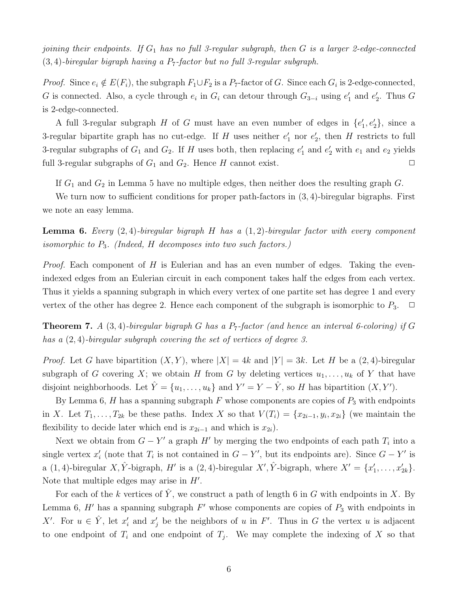joining their endpoints. If  $G_1$  has no full 3-regular subgraph, then G is a larger 2-edge-connected  $(3, 4)$ -biregular bigraph having a P<sub>7</sub>-factor but no full 3-regular subgraph.

*Proof.* Since  $e_i \notin E(F_i)$ , the subgraph  $F_1 \cup F_2$  is a  $P_7$ -factor of G. Since each  $G_i$  is 2-edge-connected, G is connected. Also, a cycle through  $e_i$  in  $G_i$  can detour through  $G_{3-i}$  using  $e'_1$  $'_{1}$  and  $e'_{2}$  $_2'$ . Thus  $G$ is 2-edge-connected.

A full 3-regular subgraph H of G must have an even number of edges in  $\{e_1^{\prime}\}$  $\langle 1, e'_2 \rangle$ , since a 3-regular bipartite graph has no cut-edge. If H uses neither  $e'_1$  nor  $e'_2$  $'_{2}$ , then H restricts to full 3-regular subgraphs of  $G_1$  and  $G_2$ . If H uses both, then replacing  $e'_1$  $\frac{1}{1}$  and  $e_2$  with  $e_1$  and  $e_2$  yields full 3-regular subgraphs of  $G_1$  and  $G_2$ . Hence H cannot exist.  $\Box$ 

If  $G_1$  and  $G_2$  in Lemma 5 have no multiple edges, then neither does the resulting graph  $G$ .

We turn now to sufficient conditions for proper path-factors in  $(3, 4)$ -biregular bigraphs. First we note an easy lemma.

**Lemma 6.** Every  $(2, 4)$ -biregular bigraph H has a  $(1, 2)$ -biregular factor with every component isomorphic to  $P_3$ . (Indeed, H decomposes into two such factors.)

*Proof.* Each component of H is Eulerian and has an even number of edges. Taking the evenindexed edges from an Eulerian circuit in each component takes half the edges from each vertex. Thus it yields a spanning subgraph in which every vertex of one partite set has degree 1 and every vertex of the other has degree 2. Hence each component of the subgraph is isomorphic to  $P_3$ .  $\Box$ 

**Theorem 7.** A (3,4)-biregular bigraph G has a  $P_7$ -factor (and hence an interval 6-coloring) if G has a (2, 4)-biregular subgraph covering the set of vertices of degree 3.

*Proof.* Let G have bipartition  $(X, Y)$ , where  $|X| = 4k$  and  $|Y| = 3k$ . Let H be a  $(2, 4)$ -biregular subgraph of G covering X; we obtain H from G by deleting vertices  $u_1, \ldots, u_k$  of Y that have disjoint neighborhoods. Let  $\hat{Y} = \{u_1, \ldots, u_k\}$  and  $Y' = Y - \hat{Y}$ , so H has bipartition  $(X, Y')$ .

By Lemma 6, H has a spanning subgraph F whose components are copies of  $P_3$  with endpoints in X. Let  $T_1, \ldots, T_{2k}$  be these paths. Index X so that  $V(T_i) = \{x_{2i-1}, y_i, x_{2i}\}$  (we maintain the flexibility to decide later which end is  $x_{2i-1}$  and which is  $x_{2i}$ ).

Next we obtain from  $G - Y'$  a graph H' by merging the two endpoints of each path  $T_i$  into a single vertex  $x_i'$  $i<sub>i</sub>$  (note that  $T_i$  is not contained in  $G - Y'$ , but its endpoints are). Since  $G - Y'$  is a (1,4)-biregular X,  $\hat{Y}$ -bigraph, H' is a (2,4)-biregular X',  $\hat{Y}$ -bigraph, where  $X' = \{x'_1\}$  $x'_{1}, \ldots, x'_{2k}\}.$ Note that multiple edges may arise in  $H'$ .

For each of the k vertices of  $\hat{Y}$ , we construct a path of length 6 in G with endpoints in X. By Lemma 6,  $H'$  has a spanning subgraph  $F'$  whose components are copies of  $P_3$  with endpoints in X'. For  $u \in \hat{Y}$ , let  $x_i'$  $x'_i$  and  $x'_j$  be the neighbors of u in F'. Thus in G the vertex u is adjacent to one endpoint of  $T_i$  and one endpoint of  $T_j$ . We may complete the indexing of X so that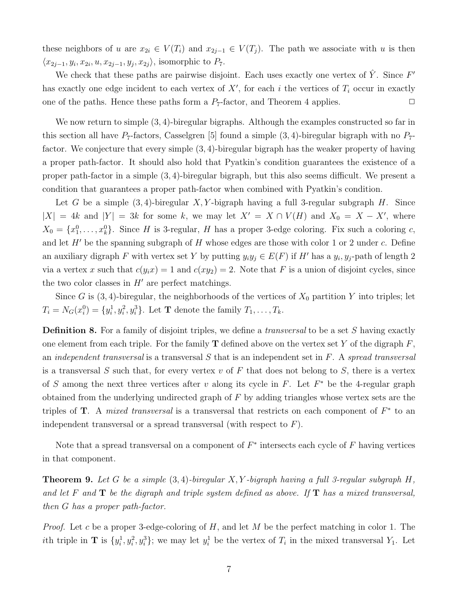these neighbors of u are  $x_{2i} \in V(T_i)$  and  $x_{2j-1} \in V(T_j)$ . The path we associate with u is then  $\langle x_{2j-1}, y_i, x_{2i}, u, x_{2j-1}, y_j, x_{2j} \rangle$ , isomorphic to  $P_7$ .

We check that these paths are pairwise disjoint. Each uses exactly one vertex of  $\hat{Y}$ . Since  $F'$ has exactly one edge incident to each vertex of  $X'$ , for each i the vertices of  $T_i$  occur in exactly one of the paths. Hence these paths form a  $P_7$ -factor, and Theorem 4 applies.  $\Box$ 

We now return to simple  $(3, 4)$ -biregular bigraphs. Although the examples constructed so far in this section all have  $P_7$ -factors, Casselgren [5] found a simple (3, 4)-biregular bigraph with no  $P_7$ factor. We conjecture that every simple (3, 4)-biregular bigraph has the weaker property of having a proper path-factor. It should also hold that Pyatkin's condition guarantees the existence of a proper path-factor in a simple (3, 4)-biregular bigraph, but this also seems difficult. We present a condition that guarantees a proper path-factor when combined with Pyatkin's condition.

Let G be a simple  $(3, 4)$ -biregular X, Y-bigraph having a full 3-regular subgraph H. Since  $|X| = 4k$  and  $|Y| = 3k$  for some k, we may let  $X' = X \cap V(H)$  and  $X_0 = X - X'$ , where  $X_0 = \{x_1^0, \ldots, x_k^0\}$ . Since H is 3-regular, H has a proper 3-edge coloring. Fix such a coloring c, and let  $H'$  be the spanning subgraph of  $H$  whose edges are those with color 1 or 2 under  $c$ . Define an auxiliary digraph F with vertex set Y by putting  $y_i y_j \in E(F)$  if H' has a  $y_i, y_j$ -path of length 2 via a vertex x such that  $c(y_ix) = 1$  and  $c(xy_2) = 2$ . Note that F is a union of disjoint cycles, since the two color classes in  $H'$  are perfect matchings.

Since G is  $(3, 4)$ -biregular, the neighborhoods of the vertices of  $X_0$  partition Y into triples; let  $T_i = N_G(x_i^0)$  $\{y_i^1\} = \{y_i^1\}$  $\{1, y_i^2, y_i^3\}$ . Let **T** denote the family  $T_1, \ldots, T_k$ .

**Definition 8.** For a family of disjoint triples, we define a *transversal* to be a set S having exactly one element from each triple. For the family **T** defined above on the vertex set Y of the digraph  $F$ , an *independent transversal* is a transversal  $S$  that is an independent set in  $F$ . A spread transversal is a transversal S such that, for every vertex v of F that does not belong to S, there is a vertex of S among the next three vertices after v along its cycle in F. Let  $F^*$  be the 4-regular graph obtained from the underlying undirected graph of F by adding triangles whose vertex sets are the triples of **T**. A *mixed transversal* is a transversal that restricts on each component of  $F^*$  to an independent transversal or a spread transversal (with respect to  $F$ ).

Note that a spread transversal on a component of  $F^*$  intersects each cycle of F having vertices in that component.

**Theorem 9.** Let G be a simple  $(3, 4)$ -biregular X, Y-bigraph having a full 3-regular subgraph H, and let F and  $T$  be the digraph and triple system defined as above. If  $T$  has a mixed transversal, then G has a proper path-factor.

*Proof.* Let c be a proper 3-edge-coloring of H, and let M be the perfect matching in color 1. The *i*th triple in **T** is  $\{y_i^1\}$  $\{y_i^1, y_i^2, y_i^3\}$ ; we may let  $y_i^1$  be the vertex of  $T_i$  in the mixed transversal  $Y_1$ . Let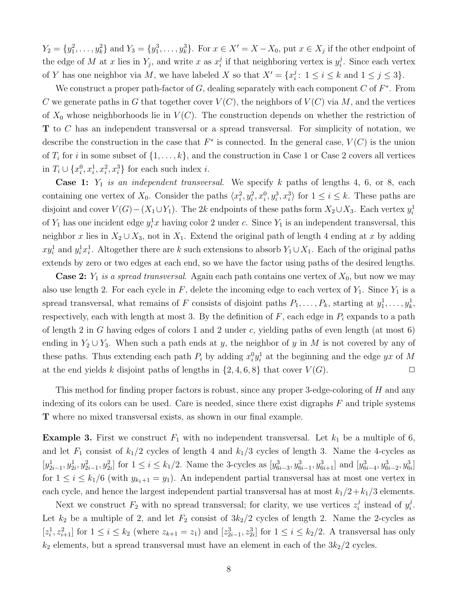$Y_2 = \{y_1^2, \ldots, y_k^2\}$  and  $Y_3 = \{y_1^3, \ldots, y_k^3\}$ . For  $x \in X' = X - X_0$ , put  $x \in X_j$  if the other endpoint of the edge of M at x lies in  $Y_j$ , and write x as  $x_i^j$  $i$  if that neighboring vertex is  $y_i^j$  $i$ . Since each vertex of Y has one neighbor via M, we have labeled X so that  $X' = \{x_i^j\}$  $i: 1 \le i \le k$  and  $1 \le j \le 3$ .

We construct a proper path-factor of  $G$ , dealing separately with each component  $C$  of  $F^*$ . From C we generate paths in G that together cover  $V(C)$ , the neighbors of  $V(C)$  via M, and the vertices of  $X_0$  whose neighborhoods lie in  $V(C)$ . The construction depends on whether the restriction of T to C has an independent transversal or a spread transversal. For simplicity of notation, we describe the construction in the case that  $F^*$  is connected. In the general case,  $V(C)$  is the union of  $T_i$  for i in some subset of  $\{1, \ldots, k\}$ , and the construction in Case 1 or Case 2 covers all vertices in  $T_i \cup \{x_i^0\}$  $\{a_i^0, x_i^1, x_i^2, x_i^3\}$  for each such index *i*.

**Case 1:**  $Y_1$  is an independent transversal. We specify k paths of lengths 4, 6, or 8, each containing one vertex of  $X_0$ . Consider the paths  $\langle x_i^2 \rangle$  $\{a_i^2, y_i^2, x_i^0, y_i^3, x_i^3\}$  for  $1 \leq i \leq k$ . These paths are disjoint and cover  $V(G) - (X_1 \cup Y_1)$ . The 2k endpoints of these paths form  $X_2 \cup X_3$ . Each vertex  $y_i^1$ i of  $Y_1$  has one incident edge  $y_i^1 x$  having color 2 under c. Since  $Y_1$  is an independent transversal, this neighbor x lies in  $X_2 \cup X_3$ , not in  $X_1$ . Extend the original path of length 4 ending at x by adding  $xy_i^1$  and  $y_i^1x_i^1$ <sup>1</sup><sub>i</sub>. Altogether there are k such extensions to absorb  $Y_1 \cup X_1$ . Each of the original paths extends by zero or two edges at each end, so we have the factor using paths of the desired lengths.

**Case 2:**  $Y_1$  is a spread transversal. Again each path contains one vertex of  $X_0$ , but now we may also use length 2. For each cycle in  $F$ , delete the incoming edge to each vertex of  $Y_1$ . Since  $Y_1$  is a spread transversal, what remains of F consists of disjoint paths  $P_1, \ldots, P_k$ , starting at  $y_1^1, \ldots, y_k^1$ , respectively, each with length at most 3. By the definition of  $F$ , each edge in  $P_i$  expands to a path of length 2 in G having edges of colors 1 and 2 under c, yielding paths of even length (at most  $6$ ) ending in  $Y_2 \cup Y_3$ . When such a path ends at y, the neighbor of y in M is not covered by any of these paths. Thus extending each path  $P_i$  by adding  $x_i^0$  ${}^0_i y^1_i$  $i<sub>i</sub>$  at the beginning and the edge yx of M at the end yields k disjoint paths of lengths in  $\{2, 4, 6, 8\}$  that cover  $V(G)$ .

This method for finding proper factors is robust, since any proper 3-edge-coloring of H and any indexing of its colors can be used. Care is needed, since there exist digraphs  $F$  and triple systems T where no mixed transversal exists, as shown in our final example.

**Example 3.** First we construct  $F_1$  with no independent transversal. Let  $k_1$  be a multiple of 6, and let  $F_1$  consist of  $k_1/2$  cycles of length 4 and  $k_1/3$  cycles of length 3. Name the 4-cycles as  $[y_{2i-1}^1, y_{2i}^1, y_{2i-1}^2, y_{2i}^2]$  for  $1 \le i \le k_1/2$ . Name the 3-cycles as  $[y_{6i-3}^3, y_{6i-1}^3, y_{6i+1}^3]$  and  $[y_{6i-4}^3, y_{6i-2}^3, y_{6i}^3]$ for  $1 \leq i \leq k_1/6$  (with  $y_{k_1+1} = y_1$ ). An independent partial transversal has at most one vertex in each cycle, and hence the largest independent partial transversal has at most  $k_1/2+k_1/3$  elements.

Next we construct  $F_2$  with no spread transversal; for clarity, we use vertices  $z_i^j$  $i$  instead of  $y_i^j$  $\frac{j}{i}$  . Let  $k_2$  be a multiple of 2, and let  $F_2$  consist of  $3k_2/2$  cycles of length 2. Name the 2-cycles as  $[z_i^1]$  $\{z_{i}^{1}, z_{i+1}^{2}\}$  for  $1 \leq i \leq k_{2}$  (where  $z_{k+1} = z_{1}$ ) and  $[z_{2i-1}^{3}, z_{2i}^{3}]$  for  $1 \leq i \leq k_{2}/2$ . A transversal has only  $k_2$  elements, but a spread transversal must have an element in each of the  $3k_2/2$  cycles.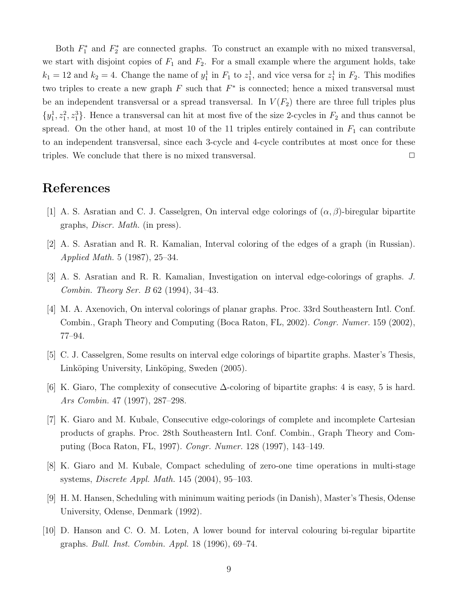Both  $F_1^*$ <sup>\*</sup><sub>1</sub><sup>\*</sup> and  $F_2^*$ <sup>\*</sup>/<sub>2</sub> are connected graphs. To construct an example with no mixed transversal, we start with disjoint copies of  $F_1$  and  $F_2$ . For a small example where the argument holds, take  $k_1 = 12$  and  $k_2 = 4$ . Change the name of  $y_1^1$  in  $F_1$  to  $z_1^1$ , and vice versa for  $z_1^1$  in  $F_2$ . This modifies two triples to create a new graph  $F$  such that  $F^*$  is connected; hence a mixed transversal must be an independent transversal or a spread transversal. In  $V(F_2)$  there are three full triples plus  $\{y_1^1, z_1^2, z_1^3\}$ . Hence a transversal can hit at most five of the size 2-cycles in  $F_2$  and thus cannot be spread. On the other hand, at most 10 of the 11 triples entirely contained in  $F_1$  can contribute to an independent transversal, since each 3-cycle and 4-cycle contributes at most once for these triples. We conclude that there is no mixed transversal.  $\Box$ 

### References

- [1] A. S. Asratian and C. J. Casselgren, On interval edge colorings of  $(\alpha, \beta)$ -biregular bipartite graphs, Discr. Math. (in press).
- [2] A. S. Asratian and R. R. Kamalian, Interval coloring of the edges of a graph (in Russian). Applied Math. 5 (1987), 25–34.
- [3] A. S. Asratian and R. R. Kamalian, Investigation on interval edge-colorings of graphs. J. Combin. Theory Ser. B 62 (1994), 34–43.
- [4] M. A. Axenovich, On interval colorings of planar graphs. Proc. 33rd Southeastern Intl. Conf. Combin., Graph Theory and Computing (Boca Raton, FL, 2002). Congr. Numer. 159 (2002), 77–94.
- [5] C. J. Casselgren, Some results on interval edge colorings of bipartite graphs. Master's Thesis, Linköping University, Linköping, Sweden (2005).
- [6] K. Giaro, The complexity of consecutive  $\Delta$ -coloring of bipartite graphs: 4 is easy, 5 is hard. Ars Combin. 47 (1997), 287–298.
- [7] K. Giaro and M. Kubale, Consecutive edge-colorings of complete and incomplete Cartesian products of graphs. Proc. 28th Southeastern Intl. Conf. Combin., Graph Theory and Computing (Boca Raton, FL, 1997). Congr. Numer. 128 (1997), 143–149.
- [8] K. Giaro and M. Kubale, Compact scheduling of zero-one time operations in multi-stage systems, Discrete Appl. Math. 145 (2004), 95–103.
- [9] H. M. Hansen, Scheduling with minimum waiting periods (in Danish), Master's Thesis, Odense University, Odense, Denmark (1992).
- [10] D. Hanson and C. O. M. Loten, A lower bound for interval colouring bi-regular bipartite graphs. Bull. Inst. Combin. Appl. 18 (1996), 69–74.